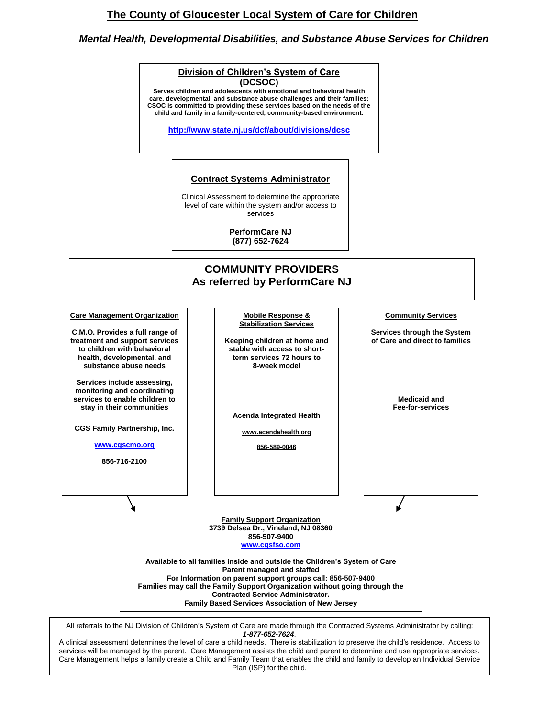# **The County of Gloucester Local System of Care for Children**

## *Mental Health, Developmental Disabilities, and Substance Abuse Services for Children*

#### **Division of Children's System of Care (DCSOC)**

Serves children and adolescents with emotional and behavioral health **care, developmental, and substance abuse challenges and their families; CSOC is committed to providing these services based on the needs of the child and family in a family-centered, community-based environment.**

**<http://www.state.nj.us/dcf/about/divisions/dcsc>**

#### **Contract Systems Administrator**

Clinical Assessment to determine the appropriate level of care within the system and/or access to services

> **PerformCare NJ (877) 652-7624**



All referrals to the NJ Division of Children's System of Care are made through the Contracted Systems Administrator by calling: *1-877-652-7624*.

A clinical assessment determines the level of care a child needs. There is stabilization to preserve the child's residence. Access to services will be managed by the parent. Care Management assists the child and parent to determine and use appropriate services. Care Management helps a family create a Child and Family Team that enables the child and family to develop an Individual Service Plan (ISP) for the child.